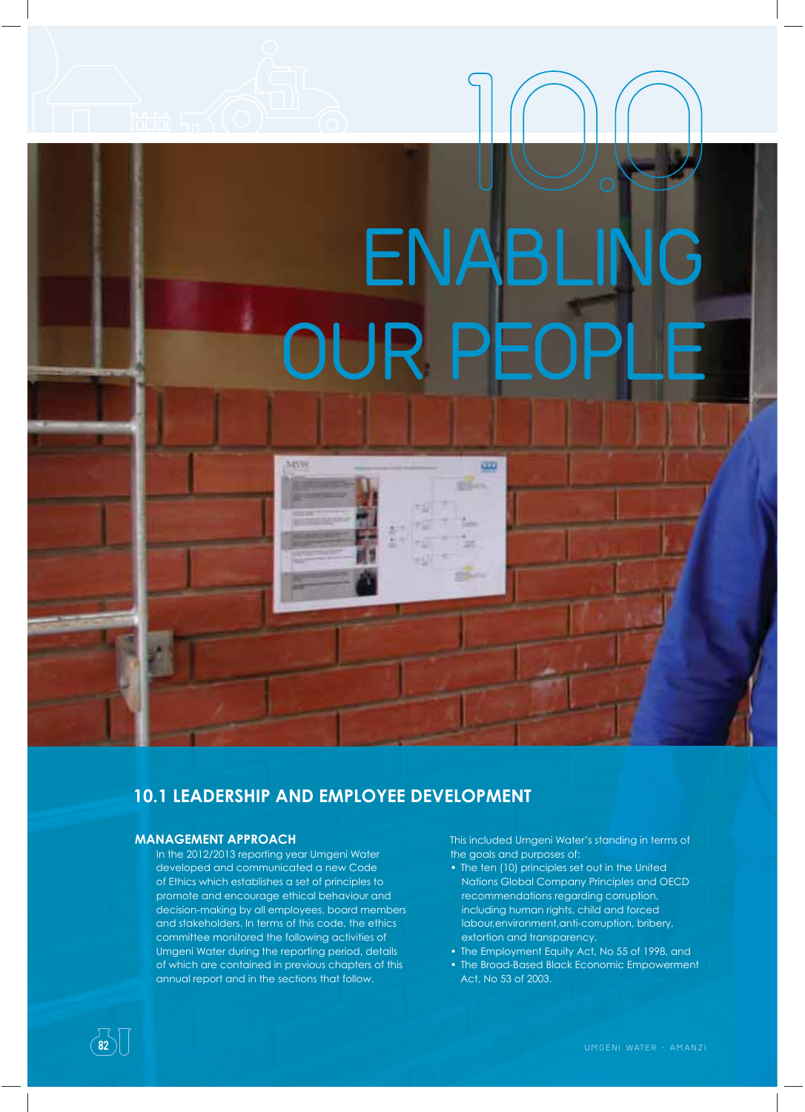# **ENABLING OUR PEOP 1O.O**

œ

**Billian** 

# **10.1 LEADERSHIP AND EMPLOYEE DEVELOPMENT**

MIV

# **MANAGEMENT APPROACH**

In the 2012/2013 reporting year Umgeni Water developed and communicated a new Code of Ethics which establishes a set of principles to promote and encourage ethical behaviour and decision-making by all employees, board members and stakeholders. In terms of this code, the ethics committee monitored the following activities of Umgeni Water during the reporting period, details of which are contained in previous chapters of this annual report and in the sections that follow.

This included Umgeni Water's standing in terms of the goals and purposes of:

- The ten (10) principles set out in the United Nations Global Company Principles and OECD recommendations regarding corruption, including human rights, child and forced labour,environment,anti-corruption, bribery, extortion and transparency,
- The Employment Equity Act, No 55 of 1998, and
- The Broad-Based Black Economic Empowerment Act, No 53 of 2003.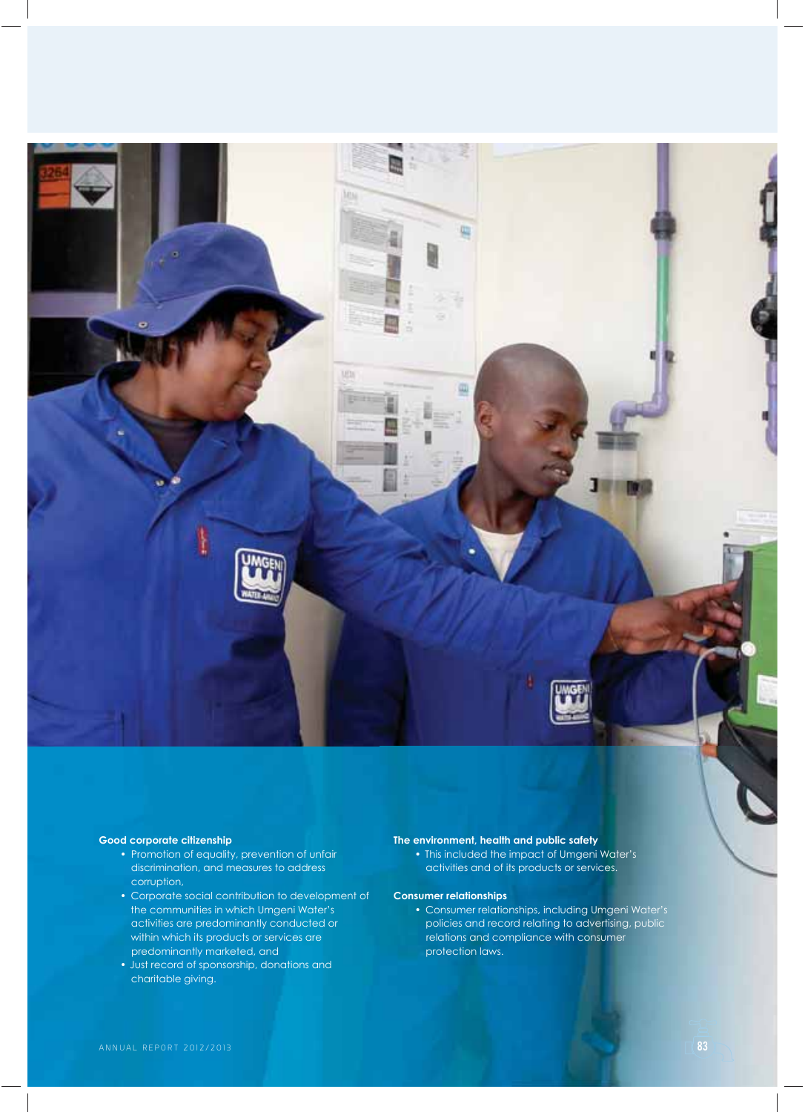

### **Good corporate citizenship**

- Promotion of equality, prevention of unfair discrimination, and measures to address corruption,
- Corporate social contribution to development of the communities in which Umgeni Water's activities are predominantly conducted or within which its products or services are predominantly marketed, and
- Just record of sponsorship, donations and charitable giving.

## **The environment, health and public safety**

• This included the impact of Umgeni Water's activities and of its products or services.

### **Consumer relationships**

• Consumer relationships, including Umgeni Water's policies and record relating to advertising, public relations and compliance with consumer protection laws.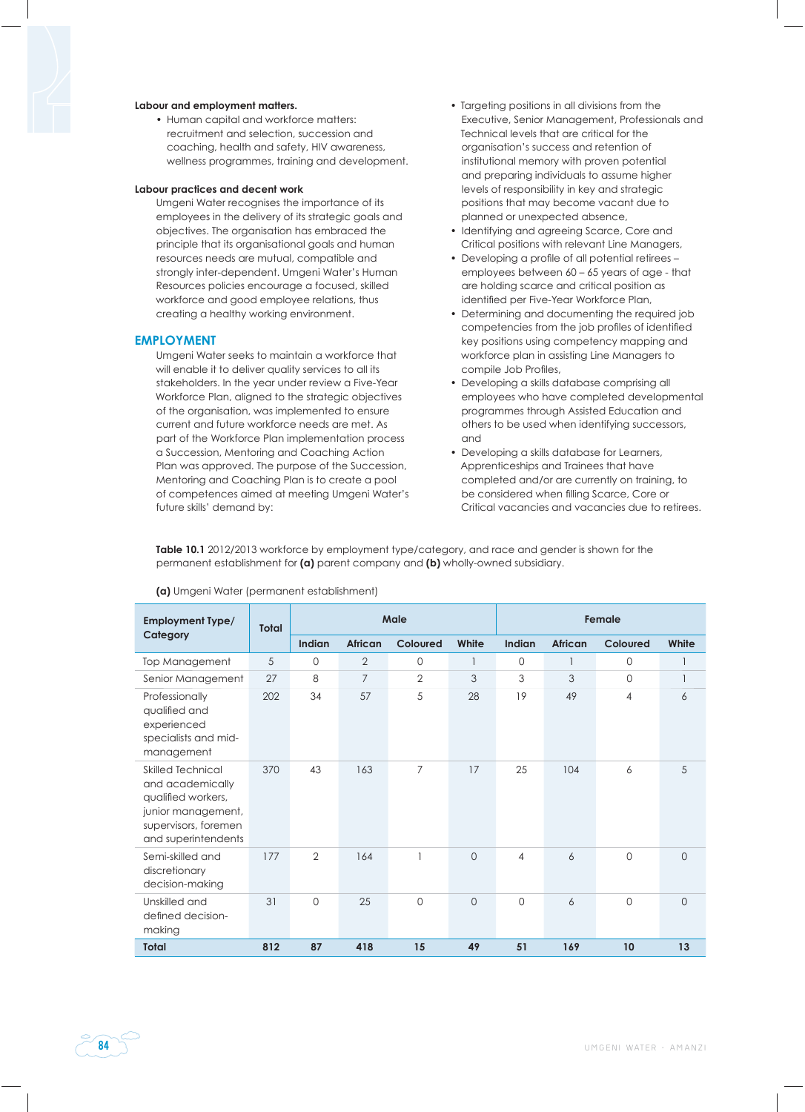### **Labour and employment matters.**

• Human capital and workforce matters: recruitment and selection, succession and coaching, health and safety, HIV awareness, wellness programmes, training and development.

### **Labour practices and decent work**

Umgeni Water recognises the importance of its employees in the delivery of its strategic goals and objectives. The organisation has embraced the principle that its organisational goals and human resources needs are mutual, compatible and strongly inter-dependent. Umgeni Water's Human Resources policies encourage a focused, skilled workforce and good employee relations, thus creating a healthy working environment.

### **EMPLOYMENT**

Umgeni Water seeks to maintain a workforce that will enable it to deliver auality services to all its stakeholders. In the year under review a Five-Year Workforce Plan, aligned to the strategic objectives of the organisation, was implemented to ensure current and future workforce needs are met. As part of the Workforce Plan implementation process a Succession, Mentoring and Coaching Action Plan was approved. The purpose of the Succession, Mentoring and Coaching Plan is to create a pool of competences aimed at meeting Umgeni Water's future skills' demand by:

- Targeting positions in all divisions from the Executive, Senior Management, Professionals and Technical levels that are critical for the organisation's success and retention of institutional memory with proven potential and preparing individuals to assume higher levels of responsibility in key and strategic positions that may become vacant due to planned or unexpected absence,
- Identifying and agreeing Scarce, Core and Critical positions with relevant Line Managers,
- Developing a profile of all potential retirees employees between 60 – 65 years of age - that are holding scarce and critical position as identified per Five-Year Workforce Plan,
- Determining and documenting the required job competencies from the job profiles of identified key positions using competency mapping and workforce plan in assisting Line Managers to compile Job Profiles,
- Developing a skills database comprising all employees who have completed developmental programmes through Assisted Education and others to be used when identifying successors, and
- Developing a skills database for Learners, Apprenticeships and Trainees that have completed and/or are currently on training, to be considered when filling Scarce, Core or Critical vacancies and vacancies due to retirees.

**Table 10.1** 2012/2013 workforce by employment type/category, and race and gender is shown for the permanent establishment for **(a)** parent company and **(b)** wholly-owned subsidiary.

| <b>Employment Type/</b>                                                                                                                 | <b>Total</b> | Male           |                |                |                | Female         |                |             |          |
|-----------------------------------------------------------------------------------------------------------------------------------------|--------------|----------------|----------------|----------------|----------------|----------------|----------------|-------------|----------|
| Category                                                                                                                                |              | Indian         | <b>African</b> | Coloured       | White          | Indian         | <b>African</b> | Coloured    | White    |
| Top Management                                                                                                                          | 5            | $\Omega$       | $\mathbf{2}$   | $\mathbf 0$    |                | $\mathbf{0}$   |                | 0           |          |
| Senior Management                                                                                                                       | 27           | 8              | $\overline{7}$ | $\overline{2}$ | 3              | 3              | 3              | $\mathbf 0$ |          |
| Professionally<br>qualified and<br>experienced<br>specialists and mid-<br>management                                                    | 202          | 34             | 57             | 5              | 28             | 19             | 49             | 4           | 6        |
| <b>Skilled Technical</b><br>and academically<br>qualified workers,<br>junior management,<br>supervisors, foremen<br>and superintendents | 370          | 43             | 163            | $\overline{7}$ | 17             | 25             | 104            | 6           | 5        |
| Semi-skilled and<br>discretionary<br>decision-making                                                                                    | 177          | $\overline{2}$ | 164            |                | $\overline{0}$ | $\overline{4}$ | 6              | $\Omega$    | $\Omega$ |
| Unskilled and<br>defined decision-<br>making                                                                                            | 31           | $\Omega$       | 25             | $\overline{0}$ | $\overline{O}$ | $\mathbf 0$    | 6              | $\mathbf 0$ | $\circ$  |
| <b>Total</b>                                                                                                                            | 812          | 87             | 418            | 15             | 49             | 51             | 169            | 10          | 13       |

### **(a)** Umgeni Water (permanent establishment)

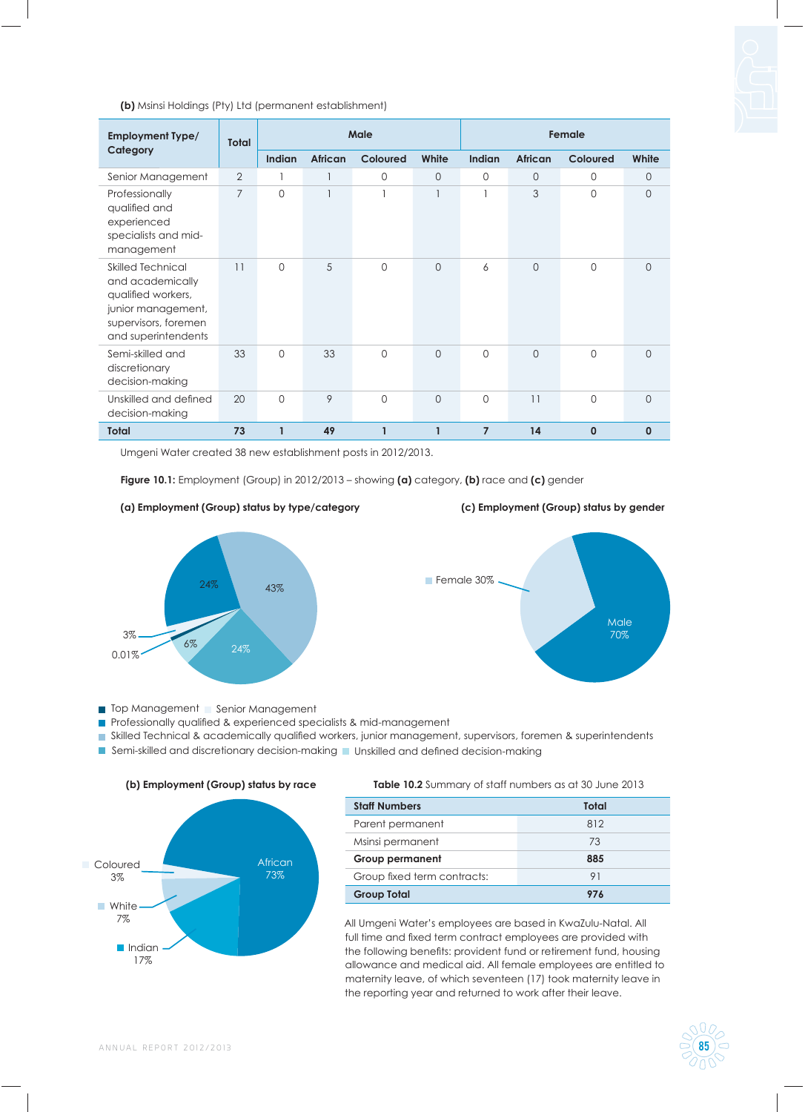### **(b)** Msinsi Holdings (Pty) Ltd (permanent establishment)

| <b>Employment Type/</b><br>Category                                                                                                     | <b>Total</b>   | Male          |                |                 |                | Female         |                |                 |                |
|-----------------------------------------------------------------------------------------------------------------------------------------|----------------|---------------|----------------|-----------------|----------------|----------------|----------------|-----------------|----------------|
|                                                                                                                                         |                | <b>Indian</b> | <b>African</b> | <b>Coloured</b> | White          | <b>Indian</b>  | African        | <b>Coloured</b> | White          |
| Senior Management                                                                                                                       | 2              |               |                | $\mathbf{0}$    | $\overline{0}$ | 0              | 0              | 0               | $\circ$        |
| Professionally<br>qualified and<br>experienced<br>specialists and mid-<br>management                                                    | $\overline{7}$ | $\mathbf 0$   |                | 1               |                | 1              | 3              | $\Omega$        | $\mathbf{0}$   |
| <b>Skilled Technical</b><br>and academically<br>qualified workers,<br>junior management,<br>supervisors, foremen<br>and superintendents | 11             | $\Omega$      | 5              | $\Omega$        | $\overline{0}$ | 6              | $\overline{0}$ | $\Omega$        | $\overline{0}$ |
| Semi-skilled and<br>discretionary<br>decision-making                                                                                    | 33             | $\Omega$      | 33             | $\Omega$        | $\Omega$       | $\Omega$       | $\Omega$       | $\Omega$        | $\Omega$       |
| Unskilled and defined<br>decision-making                                                                                                | 20             | $\Omega$      | 9              | $\Omega$        | $\overline{0}$ | 0              | 11             | $\Omega$        | $\overline{0}$ |
| <b>Total</b>                                                                                                                            | 73             | 1             | 49             | 1               | $\mathbf{1}$   | $\overline{7}$ | 14             | $\mathbf 0$     | $\mathbf{0}$   |

Umgeni Water created 38 new establishment posts in 2012/2013.

**Figure 10.1:** Employment (Group) in 2012/2013 – showing **(a)** category, **(b)** race and **(c)** gender









Top Management | Senior Management

Professionally qualified & experienced specialists & mid-management

Skilled Technical & academically qualified workers, junior management, supervisors, foremen & superintendents

Semi-skilled and discretionary decision-making  $\blacksquare$  Unskilled and defined decision-making



**(b) Employment (Group) status by race**

**Table 10.2** Summary of staff numbers as at 30 June 2013

| <b>Staff Numbers</b>        | Total |
|-----------------------------|-------|
| Parent permanent            | 812   |
| Msinsi permanent            | 73    |
| <b>Group permanent</b>      | 885   |
| Group fixed term contracts: | 91    |
| <b>Group Total</b>          | 976   |

All Umgeni Water's employees are based in KwaZulu-Natal. All full time and fixed term contract employees are provided with the following benefits: provident fund or retirement fund, housing allowance and medical aid. All female employees are entitled to maternity leave, of which seventeen (17) took maternity leave in the reporting year and returned to work after their leave.

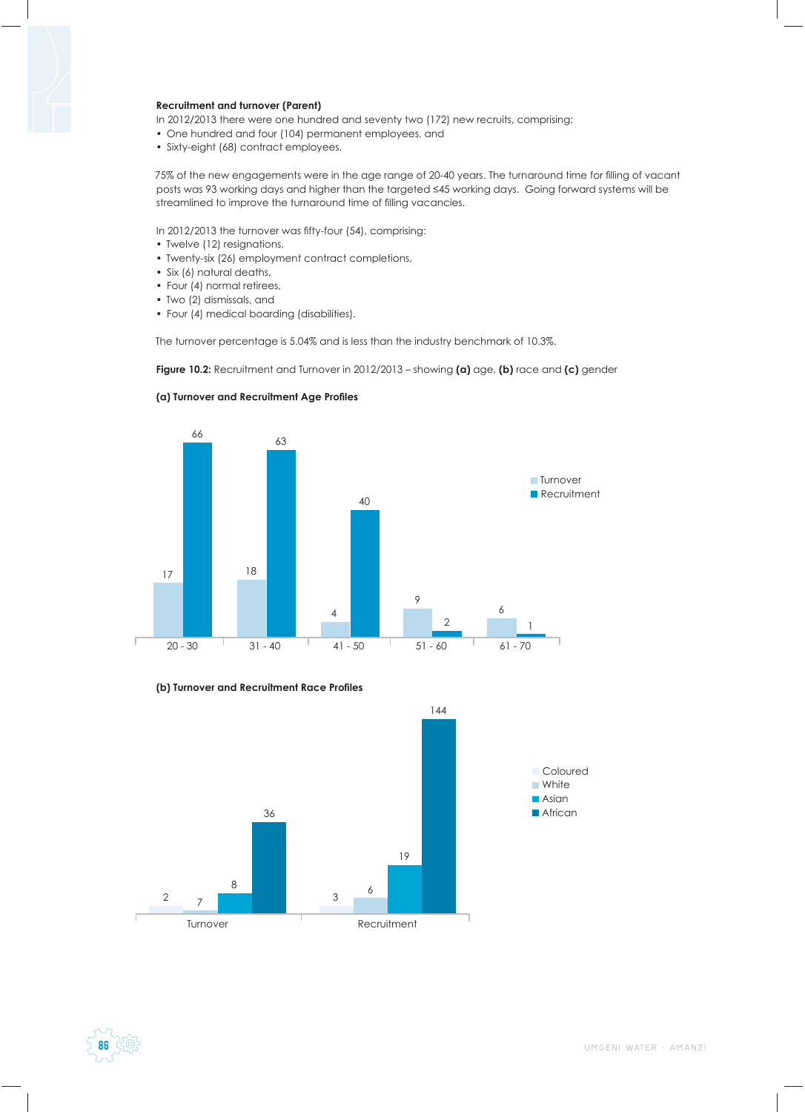### **Recruitment and turnover (Parent)**

In 2012/2013 there were one hundred and seventy two (172) new recruits, comprising:

- One hundred and four (104) permanent employees, and
- Sixty-eight (68) contract employees.

75% of the new engagements were in the age range of 20-40 years. The turnaround time for filling of vacant posts was 93 working days and higher than the targeted ≤45 working days. Going forward systems will be streamlined to improve the turnaround time of filling vacancies.

In 2012/2013 the turnover was fifty-four (54), comprising:

- Twelve (12) resignations,
- Twenty-six (26) employment contract completions,
- Six (6) natural deaths,
- Four (4) normal retirees,
- Two (2) dismissals, and
- Four (4) medical boarding (disabilities).

The turnover percentage is 5.04% and is less than the industry benchmark of 10.3%.

**Figure 10.2:** Recruitment and Turnover in 2012/2013 – showing **(a)** age, **(b)** race and **(c)** gender



### **(a) Turnover and Recruitment Age Profi les**





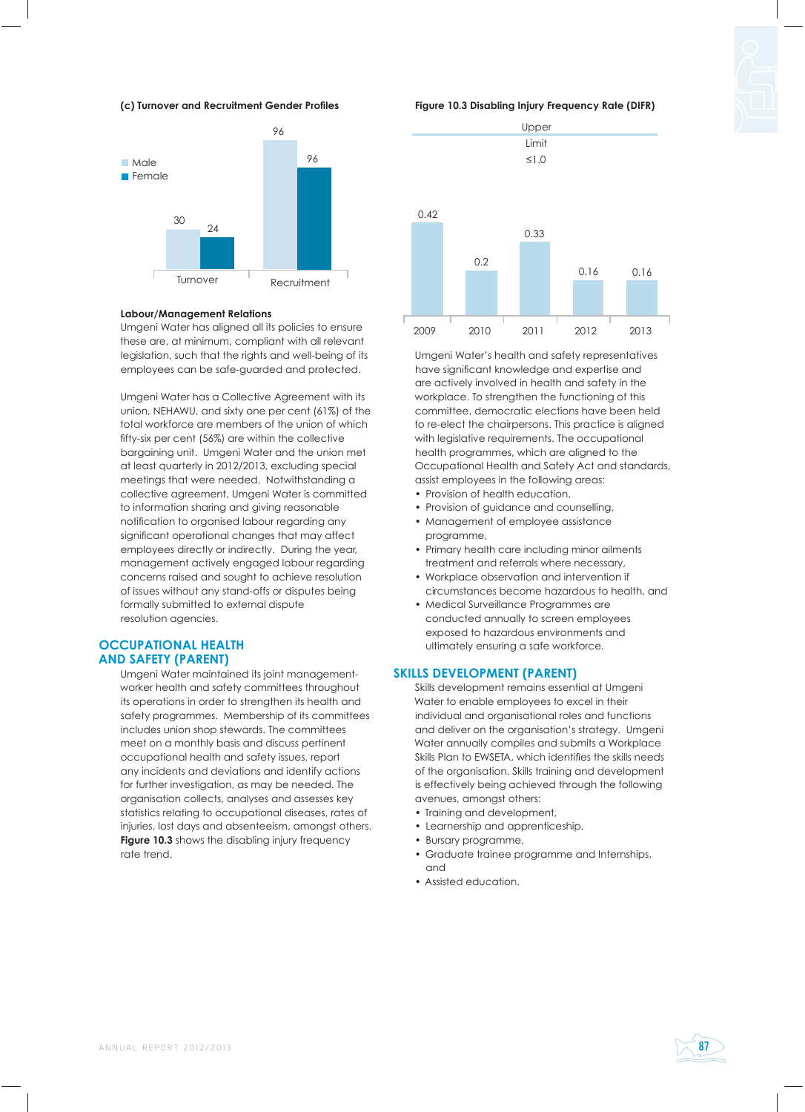# **(c) Turnover and Recruitment Gender Profi les**



# **Labour/Management Relations**

Umgeni Water has aligned all its policies to ensure these are, at minimum, compliant with all relevant legislation, such that the rights and well-being of its employees can be safe-guarded and protected.

Umgeni Water has a Collective Agreement with its union, NEHAWU, and sixty one per cent (61%) of the total workforce are members of the union of which fifty-six per cent (56%) are within the collective bargaining unit. Umgeni Water and the union met at least quarterly in 2012/2013, excluding special meetings that were needed. Notwithstanding a collective agreement, Umgeni Water is committed to information sharing and giving reasonable notification to organised labour regarding any significant operational changes that may affect employees directly or indirectly. During the year, management actively engaged labour regarding concerns raised and sought to achieve resolution of issues without any stand-offs or disputes being formally submitted to external dispute resolution agencies.

# **OCCUPATIONAL HEALTH AND SAFETY (PARENT)**

Umgeni Water maintained its joint managementworker health and safety committees throughout its operations in order to strengthen its health and safety programmes. Membership of its committees includes union shop stewards. The committees meet on a monthly basis and discuss pertinent occupational health and safety issues, report any incidents and deviations and identify actions for further investigation, as may be needed. The organisation collects, analyses and assesses key statistics relating to occupational diseases, rates of injuries, lost days and absenteeism, amongst others. **Figure 10.3** shows the disabling injury frequency rate trend.

# **Figure 10.3 Disabling Injury Frequency Rate (DIFR)**



Umgeni Water's health and safety representatives have significant knowledge and expertise and are actively involved in health and safety in the workplace. To strengthen the functioning of this committee, democratic elections have been held to re-elect the chairpersons. This practice is aligned with legislative requirements. The occupational health programmes, which are aligned to the Occupational Health and Safety Act and standards, assist employees in the following areas:

- Provision of health education,
- Provision of guidance and counselling,
- Management of employee assistance programme,
- Primary health care including minor ailments treatment and referrals where necessary,
- Workplace observation and intervention if circumstances become hazardous to health, and
- Medical Surveillance Programmes are conducted annually to screen employees exposed to hazardous environments and ultimately ensuring a safe workforce.

# **SKILLS DEVELOPMENT (PARENT)**

Skills development remains essential at Umgeni Water to enable employees to excel in their individual and organisational roles and functions and deliver on the organisation's strategy. Umgeni Water annually compiles and submits a Workplace Skills Plan to EWSETA, which identifies the skills needs of the organisation. Skills training and development is effectively being achieved through the following avenues, amongst others:

- Training and development,
- Learnership and apprenticeship,
- Bursary programme,
- Graduate trainee programme and Internships, and
- Assisted education.

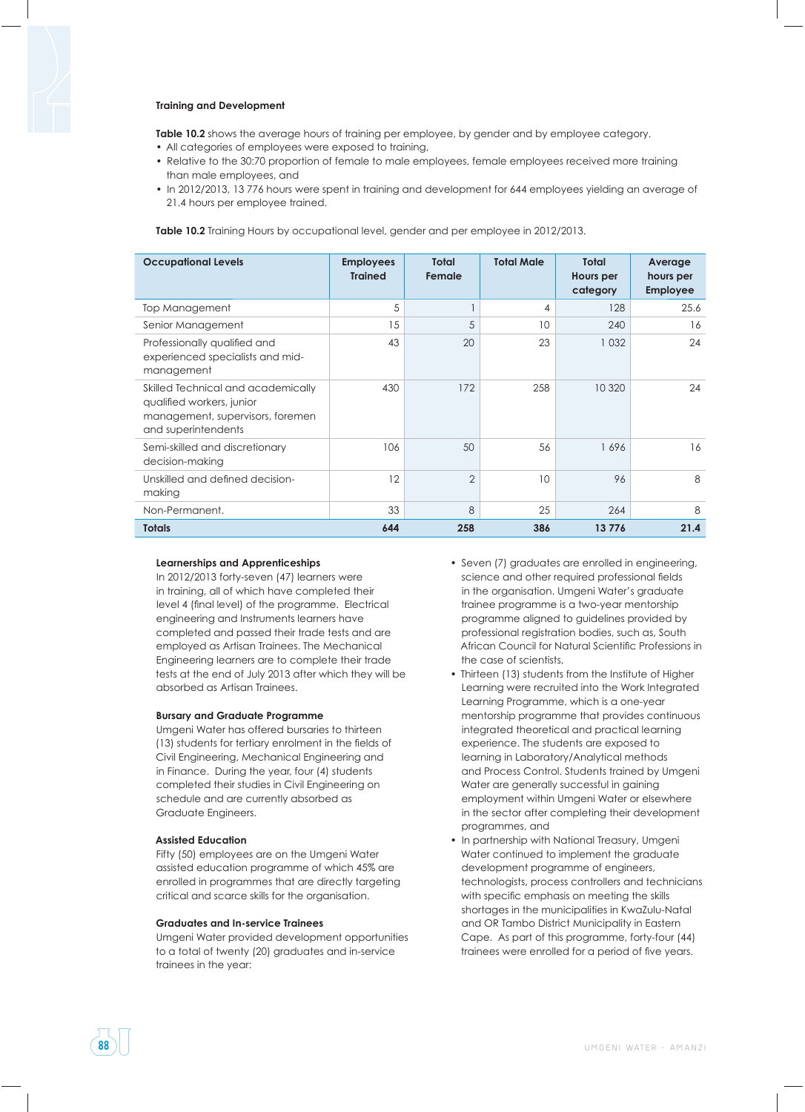### **Training and Development**

**Table 10.2** shows the average hours of training per employee, by gender and by employee category.

- All categories of employees were exposed to training,
- Relative to the 30:70 proportion of female to male employees, female employees received more training than male employees, and
- In 2012/2013, 13 776 hours were spent in training and development for 644 employees yielding an average of 21.4 hours per employee trained.

**Table 10.2** Training Hours by occupational level, gender and per employee in 2012/2013.

| <b>Occupational Levels</b>                                                                                                 | <b>Employees</b><br><b>Trained</b> | <b>Total</b><br>Female | <b>Total Male</b> | <b>Total</b><br>Hours per<br>category | Average<br>hours per<br><b>Employee</b> |
|----------------------------------------------------------------------------------------------------------------------------|------------------------------------|------------------------|-------------------|---------------------------------------|-----------------------------------------|
| Top Management                                                                                                             | 5                                  |                        | 4                 | 128                                   | 25.6                                    |
| Senior Management                                                                                                          | 15                                 | 5                      | 10 <sup>°</sup>   | 240                                   | 16                                      |
| Professionally qualified and<br>experienced specialists and mid-<br>management                                             | 43                                 | 20                     | 23                | 1 0 3 2                               | 24                                      |
| Skilled Technical and academically<br>qualified workers, junior<br>management, supervisors, foremen<br>and superintendents | 430                                | 172                    | 258               | 10 3 20                               | 24                                      |
| Semi-skilled and discretionary<br>decision-making                                                                          | 106                                | 50                     | 56                | 1696                                  | 16                                      |
| Unskilled and defined decision-<br>making                                                                                  | 12                                 | $\overline{2}$         | 10 <sup>°</sup>   | 96                                    | 8                                       |
| Non-Permanent.                                                                                                             | 33                                 | 8                      | 25                | 264                                   | 8                                       |
| <b>Totals</b>                                                                                                              | 644                                | 258                    | 386               | 13776                                 | 21.4                                    |

### **Learnerships and Apprenticeships**

In 2012/2013 forty-seven (47) learners were in training, all of which have completed their level 4 (final level) of the programme. Electrical engineering and Instruments learners have completed and passed their trade tests and are employed as Artisan Trainees. The Mechanical Engineering learners are to complete their trade tests at the end of July 2013 after which they will be absorbed as Artisan Trainees.

### **Bursary and Graduate Programme**

Umgeni Water has offered bursaries to thirteen (13) students for tertiary enrolment in the fields of Civil Engineering, Mechanical Engineering and in Finance. During the year, four (4) students completed their studies in Civil Engineering on schedule and are currently absorbed as Graduate Engineers.

### **Assisted Education**

Fifty (50) employees are on the Umgeni Water assisted education programme of which 45% are enrolled in programmes that are directly targeting critical and scarce skills for the organisation.

### **Graduates and In-service Trainees**

Umgeni Water provided development opportunities to a total of twenty (20) graduates and in-service trainees in the year:

- Seven (7) graduates are enrolled in engineering, science and other required professional fields in the organisation. Umgeni Water's graduate trainee programme is a two-year mentorship programme aligned to guidelines provided by professional registration bodies, such as, South African Council for Natural Scientific Professions in the case of scientists,
- Thirteen (13) students from the Institute of Higher Learning were recruited into the Work Integrated Learning Programme, which is a one-year mentorship programme that provides continuous integrated theoretical and practical learning experience. The students are exposed to learning in Laboratory/Analytical methods and Process Control. Students trained by Umgeni Water are generally successful in gaining employment within Umgeni Water or elsewhere in the sector after completing their development programmes, and
- In partnership with National Treasury, Umgeni Water continued to implement the graduate development programme of engineers, technologists, process controllers and technicians with specific emphasis on meeting the skills shortages in the municipalities in KwaZulu-Natal and OR Tambo District Municipality in Eastern Cape. As part of this programme, forty-four (44) trainees were enrolled for a period of five years.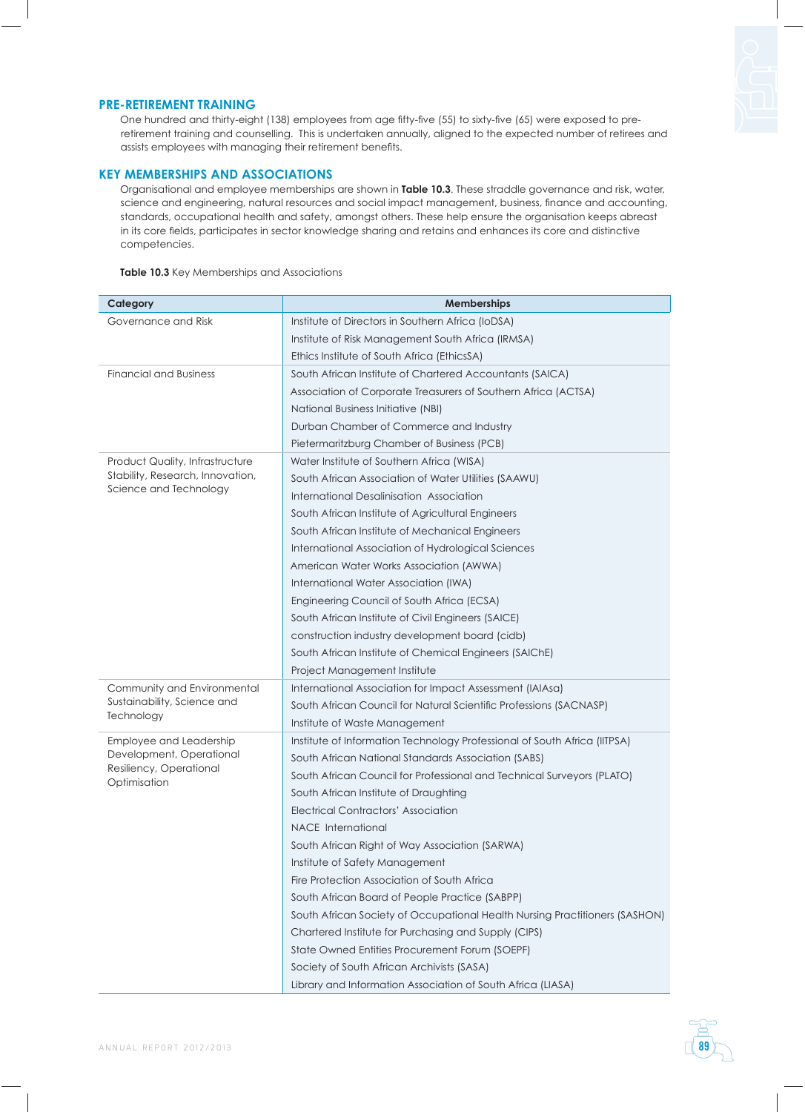# **PRE-RETIREMENT TRAINING**

One hundred and thirty-eight (138) employees from age fifty-five (55) to sixty-five (65) were exposed to preretirement training and counselling. This is undertaken annually, aligned to the expected number of retirees and assists employees with managing their retirement benefits.

# **KEY MEMBERSHIPS AND ASSOCIATIONS**

Organisational and employee memberships are shown in **Table 10.3**. These straddle governance and risk, water, science and engineering, natural resources and social impact management, business, finance and accounting, standards, occupational health and safety, amongst others. These help ensure the organisation keeps abreast in its core fields, participates in sector knowledge sharing and retains and enhances its core and distinctive competencies.

**Table 10.3** Key Memberships and Associations

| Category                                | <b>Memberships</b>                                                          |  |  |  |  |  |
|-----------------------------------------|-----------------------------------------------------------------------------|--|--|--|--|--|
| Governance and Risk                     | Institute of Directors in Southern Africa (IoDSA)                           |  |  |  |  |  |
|                                         | Institute of Risk Management South Africa (IRMSA)                           |  |  |  |  |  |
|                                         | Ethics Institute of South Africa (EthicsSA)                                 |  |  |  |  |  |
| <b>Financial and Business</b>           | South African Institute of Chartered Accountants (SAICA)                    |  |  |  |  |  |
|                                         | Association of Corporate Treasurers of Southern Africa (ACTSA)              |  |  |  |  |  |
|                                         | <b>National Business Initiative (NBI)</b>                                   |  |  |  |  |  |
|                                         | Durban Chamber of Commerce and Industry                                     |  |  |  |  |  |
|                                         | Pietermaritzburg Chamber of Business (PCB)                                  |  |  |  |  |  |
| Product Quality, Infrastructure         | Water Institute of Southern Africa (WISA)                                   |  |  |  |  |  |
| Stability, Research, Innovation,        | South African Association of Water Utilities (SAAWU)                        |  |  |  |  |  |
| Science and Technology                  | International Desalinisation Association                                    |  |  |  |  |  |
|                                         | South African Institute of Agricultural Engineers                           |  |  |  |  |  |
|                                         | South African Institute of Mechanical Engineers                             |  |  |  |  |  |
|                                         | International Association of Hydrological Sciences                          |  |  |  |  |  |
|                                         | American Water Works Association (AWWA)                                     |  |  |  |  |  |
|                                         | International Water Association (IWA)                                       |  |  |  |  |  |
|                                         | Engineering Council of South Africa (ECSA)                                  |  |  |  |  |  |
|                                         | South African Institute of Civil Engineers (SAICE)                          |  |  |  |  |  |
|                                         | construction industry development board (cidb)                              |  |  |  |  |  |
|                                         | South African Institute of Chemical Engineers (SAIChE)                      |  |  |  |  |  |
|                                         | Project Management Institute                                                |  |  |  |  |  |
| Community and Environmental             | International Association for Impact Assessment (IAIAsa)                    |  |  |  |  |  |
| Sustainability, Science and             | South African Council for Natural Scientific Professions (SACNASP)          |  |  |  |  |  |
| Technology                              | Institute of Waste Management                                               |  |  |  |  |  |
| Employee and Leadership                 | Institute of Information Technology Professional of South Africa (IITPSA)   |  |  |  |  |  |
| Development, Operational                | South African National Standards Association (SABS)                         |  |  |  |  |  |
| Resiliency, Operational<br>Optimisation | South African Council for Professional and Technical Surveyors (PLATO)      |  |  |  |  |  |
|                                         | South African Institute of Draughting                                       |  |  |  |  |  |
|                                         | <b>Electrical Contractors' Association</b>                                  |  |  |  |  |  |
|                                         | NACE International                                                          |  |  |  |  |  |
|                                         | South African Right of Way Association (SARWA)                              |  |  |  |  |  |
|                                         | Institute of Safety Management                                              |  |  |  |  |  |
|                                         | Fire Protection Association of South Africa                                 |  |  |  |  |  |
|                                         | South African Board of People Practice (SABPP)                              |  |  |  |  |  |
|                                         | South African Society of Occupational Health Nursing Practitioners (SASHON) |  |  |  |  |  |
|                                         | Chartered Institute for Purchasing and Supply (CIPS)                        |  |  |  |  |  |
|                                         | State Owned Entities Procurement Forum (SOEPF)                              |  |  |  |  |  |
|                                         | Society of South African Archivists (SASA)                                  |  |  |  |  |  |
|                                         | Library and Information Association of South Africa (LIASA)                 |  |  |  |  |  |

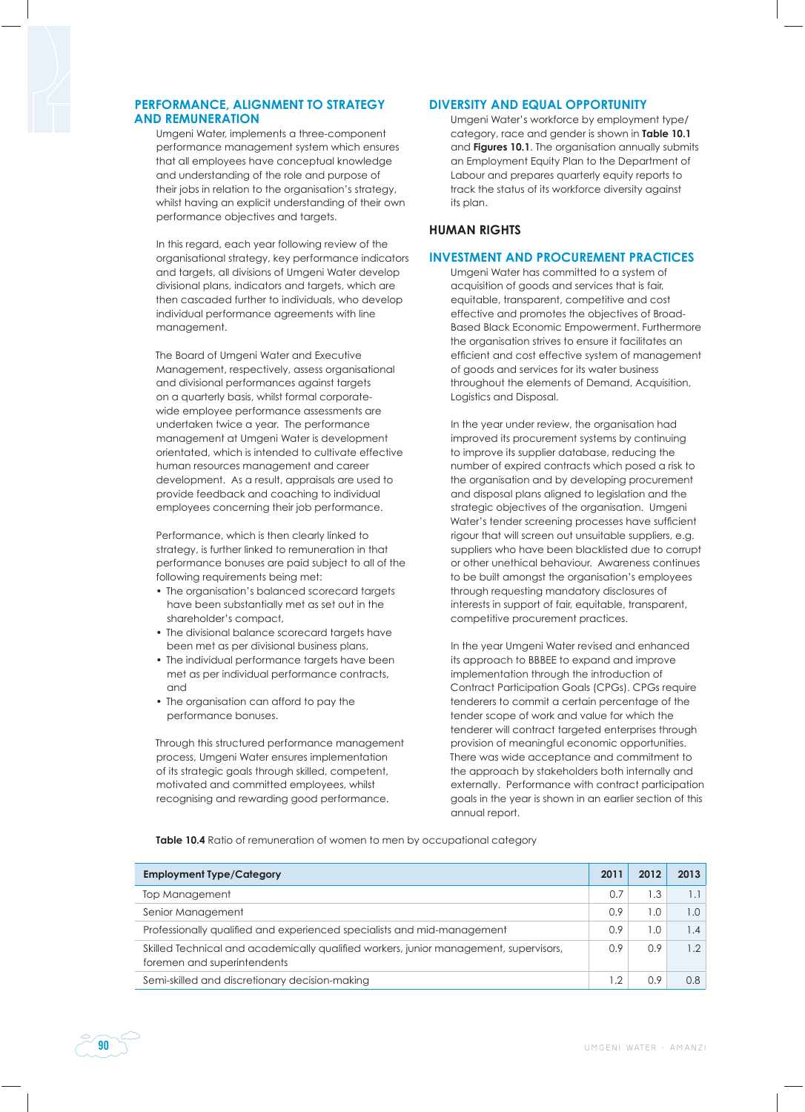# **PERFORMANCE, ALIGNMENT TO STRATEGY AND REMUNERATION**

Umgeni Water, implements a three-component performance management system which ensures that all employees have conceptual knowledge and understanding of the role and purpose of their jobs in relation to the organisation's strategy, whilst having an explicit understanding of their own performance objectives and targets.

In this regard, each year following review of the organisational strategy, key performance indicators and targets, all divisions of Umgeni Water develop divisional plans, indicators and targets, which are then cascaded further to individuals, who develop individual performance agreements with line management.

The Board of Umgeni Water and Executive Management, respectively, assess organisational and divisional performances against targets on a quarterly basis, whilst formal corporatewide employee performance assessments are undertaken twice a year. The performance management at Umgeni Water is development orientated, which is intended to cultivate effective human resources management and career development. As a result, appraisals are used to provide feedback and coaching to individual employees concerning their job performance.

Performance, which is then clearly linked to strategy, is further linked to remuneration in that performance bonuses are paid subject to all of the following requirements being met:

- The organisation's balanced scorecard targets have been substantially met as set out in the shareholder's compact,
- The divisional balance scorecard targets have been met as per divisional business plans,
- The individual performance targets have been met as per individual performance contracts, and
- The organisation can afford to pay the performance bonuses.

Through this structured performance management process, Umgeni Water ensures implementation of its strategic goals through skilled, competent, motivated and committed employees, whilst recognising and rewarding good performance.

# **DIVERSITY AND EQUAL OPPORTUNITY**

Umgeni Water's workforce by employment type/ category, race and gender is shown in **Table 10.1** and **Figures 10.1**. The organisation annually submits an Employment Equity Plan to the Department of Labour and prepares quarterly equity reports to track the status of its workforce diversity against its plan.

# **HUMAN RIGHTS**

# **INVESTMENT AND PROCUREMENT PRACTICES**

Umgeni Water has committed to a system of acquisition of goods and services that is fair, equitable, transparent, competitive and cost effective and promotes the objectives of Broad-Based Black Economic Empowerment. Furthermore the organisation strives to ensure it facilitates an efficient and cost effective system of management of goods and services for its water business throughout the elements of Demand, Acquisition, Logistics and Disposal.

In the year under review, the organisation had improved its procurement systems by continuing to improve its supplier database, reducing the number of expired contracts which posed a risk to the organisation and by developing procurement and disposal plans aligned to legislation and the strategic objectives of the organisation. Umgeni Water's tender screening processes have sufficient rigour that will screen out unsuitable suppliers, e.g. suppliers who have been blacklisted due to corrupt or other unethical behaviour. Awareness continues to be built amongst the organisation's employees through requesting mandatory disclosures of interests in support of fair, equitable, transparent, competitive procurement practices.

In the year Umgeni Water revised and enhanced its approach to BBBEE to expand and improve implementation through the introduction of Contract Participation Goals (CPGs). CPGs require tenderers to commit a certain percentage of the tender scope of work and value for which the tenderer will contract targeted enterprises through provision of meaningful economic opportunities. There was wide acceptance and commitment to the approach by stakeholders both internally and externally. Performance with contract participation goals in the year is shown in an earlier section of this annual report.

**Table 10.4** Ratio of remuneration of women to men by occupational category

| <b>Employment Type/Category</b>                                                                                      | 2011 | 2012 | 2013           |
|----------------------------------------------------------------------------------------------------------------------|------|------|----------------|
| Top Management                                                                                                       | 0.7  | 3. ا |                |
| Senior Management                                                                                                    | 0.9  | 1.0  | $\Omega$ .     |
| Professionally qualified and experienced specialists and mid-management                                              | 0.9  | 1.0  | $\mathbf{.4}$  |
| Skilled Technical and academically qualified workers, junior management, supervisors,<br>foremen and superintendents | 0.9  | 0.9  | $\overline{2}$ |
| Semi-skilled and discretionary decision-making                                                                       |      | 0.9  | 0.8            |